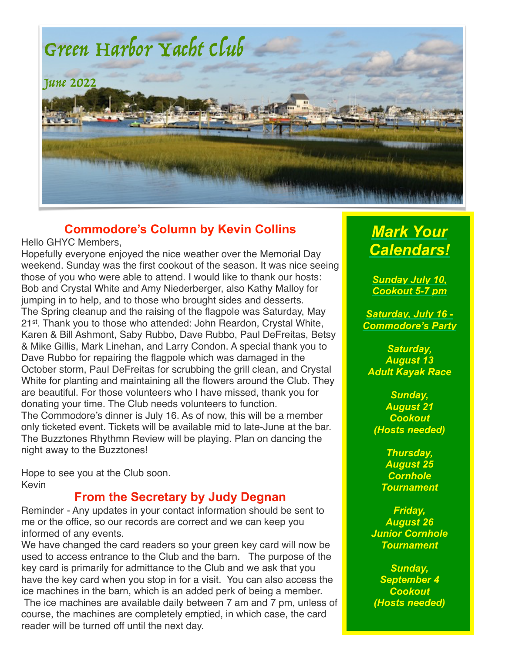

### **Commodore's Column by Kevin Collins**

Hello GHYC Members,

Hopefully everyone enjoyed the nice weather over the Memorial Day weekend. Sunday was the first cookout of the season. It was nice seeing those of you who were able to attend. I would like to thank our hosts: Bob and Crystal White and Amy Niederberger, also Kathy Malloy for jumping in to help, and to those who brought sides and desserts. The Spring cleanup and the raising of the flagpole was Saturday, May 21st. Thank you to those who attended: John Reardon, Crystal White, Karen & Bill Ashmont, Saby Rubbo, Dave Rubbo, Paul DeFreitas, Betsy & Mike Gillis, Mark Linehan, and Larry Condon. A special thank you to Dave Rubbo for repairing the flagpole which was damaged in the October storm, Paul DeFreitas for scrubbing the grill clean, and Crystal White for planting and maintaining all the flowers around the Club. They are beautiful. For those volunteers who I have missed, thank you for donating your time. The Club needs volunteers to function. The Commodore's dinner is July 16. As of now, this will be a member only ticketed event. Tickets will be available mid to late-June at the bar. The Buzztones Rhythmn Review will be playing. Plan on dancing the night away to the Buzztones!

Hope to see you at the Club soon. Kevin

### **From the Secretary by Judy Degnan**

Reminder - Any updates in your contact information should be sent to me or the office, so our records are correct and we can keep you informed of any events.

We have changed the card readers so your green key card will now be used to access entrance to the Club and the barn. The purpose of the key card is primarily for admittance to the Club and we ask that you have the key card when you stop in for a visit. You can also access the ice machines in the barn, which is an added perk of being a member.

The ice machines are available daily between 7 am and 7 pm, unless of course, the machines are completely emptied, in which case, the card reader will be turned off until the next day.

# *Mark Your Calendars!*

*Sunday July 10, Cookout 5-7 pm*

*Saturday, July 16 - Commodore's Party*

*Saturday, August 13 Adult Kayak Race*

*Sunday, August 21 Cookout (Hosts needed)*

> *Thursday, August 25 Cornhole Tournament*

*Friday, August 26 Junior Cornhole Tournament*

*Sunday, September 4 Cookout (Hosts needed)*